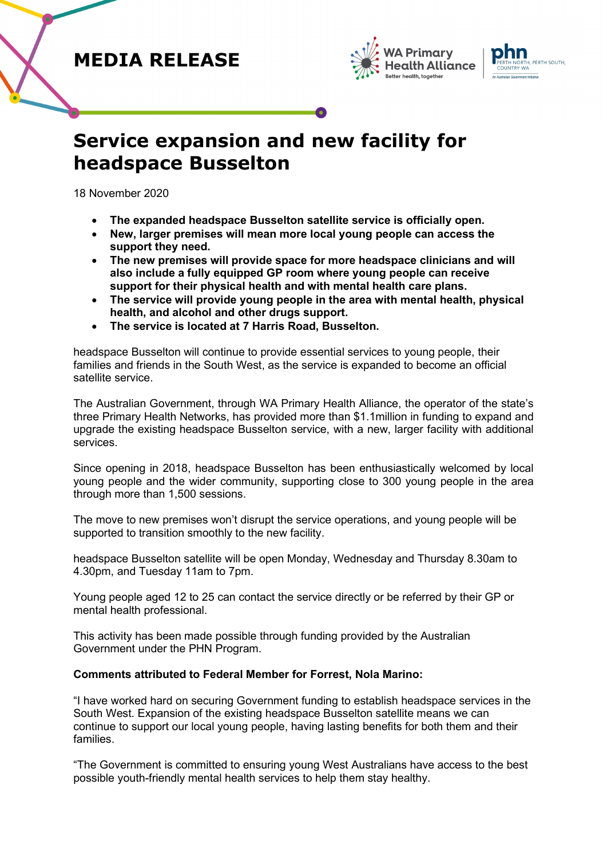## **MEDIA RELEASE**





# **Service expansion and new facility for headspace Busselton**

18 November 2020

- **The expanded headspace Busselton satellite service is officially open.**
- **New, larger premises will mean more local young people can access the support they need.**
- **The new premises will provide space for more headspace clinicians and will also include a fully equipped GP room where young people can receive support for their physical health and with mental health care plans.**
- **The service will provide young people in the area with mental health, physical health, and alcohol and other drugs support.**
- **The service is located at 7 Harris Road, Busselton.**

headspace Busselton will continue to provide essential services to young people, their families and friends in the South West, as the service is expanded to become an official satellite service.

The Australian Government, through WA Primary Health Alliance, the operator of the state's three Primary Health Networks, has provided more than \$1.1million in funding to expand and upgrade the existing headspace Busselton service, with a new, larger facility with additional services.

Since opening in 2018, headspace Busselton has been enthusiastically welcomed by local young people and the wider community, supporting close to 300 young people in the area through more than 1,500 sessions.

The move to new premises won't disrupt the service operations, and young people will be supported to transition smoothly to the new facility.

headspace Busselton satellite will be open Monday, Wednesday and Thursday 8.30am to 4.30pm, and Tuesday 11am to 7pm.

Young people aged 12 to 25 can contact the service directly or be referred by their GP or mental health professional.

This activity has been made possible through funding provided by the Australian Government under the PHN Program.

### **Comments attributed to Federal Member for Forrest, Nola Marino:**

"I have worked hard on securing Government funding to establish headspace services in the South West. Expansion of the existing headspace Busselton satellite means we can continue to support our local young people, having lasting benefits for both them and their families.

"The Government is committed to ensuring young West Australians have access to the best possible youth-friendly mental health services to help them stay healthy.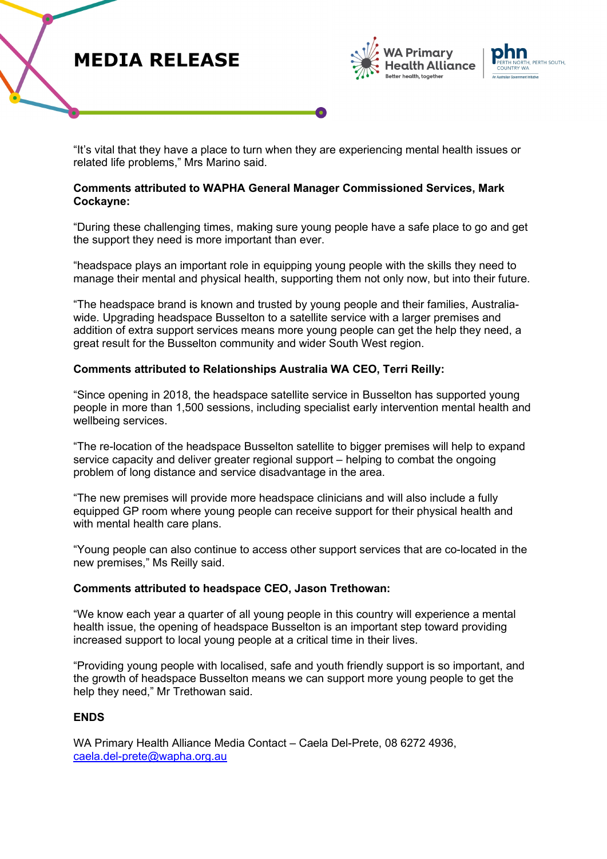## **MEDIA RELEASE**





"It's vital that they have a place to turn when they are experiencing mental health issues or related life problems," Mrs Marino said.

#### **Comments attributed to WAPHA General Manager Commissioned Services, Mark Cockayne:**

"During these challenging times, making sure young people have a safe place to go and get the support they need is more important than ever.

"headspace plays an important role in equipping young people with the skills they need to manage their mental and physical health, supporting them not only now, but into their future.

"The headspace brand is known and trusted by young people and their families, Australiawide. Upgrading headspace Busselton to a satellite service with a larger premises and addition of extra support services means more young people can get the help they need, a great result for the Busselton community and wider South West region.

#### **Comments attributed to Relationships Australia WA CEO, Terri Reilly:**

"Since opening in 2018, the headspace satellite service in Busselton has supported young people in more than 1,500 sessions, including specialist early intervention mental health and wellbeing services.

"The re-location of the headspace Busselton satellite to bigger premises will help to expand service capacity and deliver greater regional support – helping to combat the ongoing problem of long distance and service disadvantage in the area.

"The new premises will provide more headspace clinicians and will also include a fully equipped GP room where young people can receive support for their physical health and with mental health care plans.

"Young people can also continue to access other support services that are co-located in the new premises," Ms Reilly said.

#### **Comments attributed to headspace CEO, Jason Trethowan:**

"We know each year a quarter of all young people in this country will experience a mental health issue, the opening of headspace Busselton is an important step toward providing increased support to local young people at a critical time in their lives.

"Providing young people with localised, safe and youth friendly support is so important, and the growth of headspace Busselton means we can support more young people to get the help they need," Mr Trethowan said.

#### **ENDS**

WA Primary Health Alliance Media Contact – Caela Del-Prete, 08 6272 4936, [caela.del-prete@wapha.org.au](mailto:caela.del-prete@wapha.org.au)